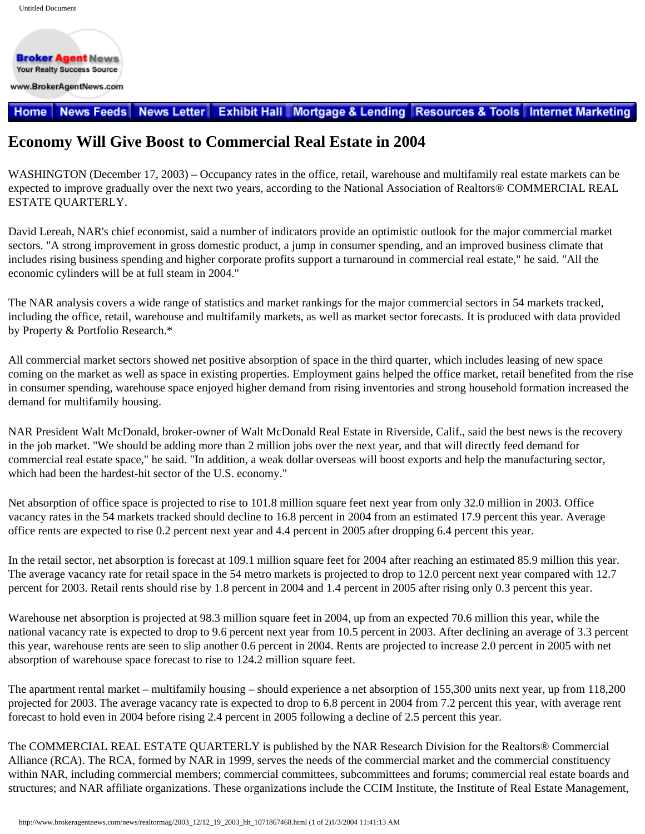**Broker Agent News Your Realty Success Source** www.BrokerAgentNews.com

## **News Letter Exhibit Hall Mortgage & Lending Resources & Tools Internet Marketing Home** News Feeds

## **Economy Will Give Boost to Commercial Real Estate in 2004**

WASHINGTON (December 17, 2003) – Occupancy rates in the office, retail, warehouse and multifamily real estate markets can be expected to improve gradually over the next two years, according to the National Association of Realtors® COMMERCIAL REAL ESTATE QUARTERLY.

David Lereah, NAR's chief economist, said a number of indicators provide an optimistic outlook for the major commercial market sectors. "A strong improvement in gross domestic product, a jump in consumer spending, and an improved business climate that includes rising business spending and higher corporate profits support a turnaround in commercial real estate," he said. "All the economic cylinders will be at full steam in 2004."

The NAR analysis covers a wide range of statistics and market rankings for the major commercial sectors in 54 markets tracked, including the office, retail, warehouse and multifamily markets, as well as market sector forecasts. It is produced with data provided by Property & Portfolio Research.\*

All commercial market sectors showed net positive absorption of space in the third quarter, which includes leasing of new space coming on the market as well as space in existing properties. Employment gains helped the office market, retail benefited from the rise in consumer spending, warehouse space enjoyed higher demand from rising inventories and strong household formation increased the demand for multifamily housing.

NAR President Walt McDonald, broker-owner of Walt McDonald Real Estate in Riverside, Calif., said the best news is the recovery in the job market. "We should be adding more than 2 million jobs over the next year, and that will directly feed demand for commercial real estate space," he said. "In addition, a weak dollar overseas will boost exports and help the manufacturing sector, which had been the hardest-hit sector of the U.S. economy."

Net absorption of office space is projected to rise to 101.8 million square feet next year from only 32.0 million in 2003. Office vacancy rates in the 54 markets tracked should decline to 16.8 percent in 2004 from an estimated 17.9 percent this year. Average office rents are expected to rise 0.2 percent next year and 4.4 percent in 2005 after dropping 6.4 percent this year.

In the retail sector, net absorption is forecast at 109.1 million square feet for 2004 after reaching an estimated 85.9 million this year. The average vacancy rate for retail space in the 54 metro markets is projected to drop to 12.0 percent next year compared with 12.7 percent for 2003. Retail rents should rise by 1.8 percent in 2004 and 1.4 percent in 2005 after rising only 0.3 percent this year.

Warehouse net absorption is projected at 98.3 million square feet in 2004, up from an expected 70.6 million this year, while the national vacancy rate is expected to drop to 9.6 percent next year from 10.5 percent in 2003. After declining an average of 3.3 percent this year, warehouse rents are seen to slip another 0.6 percent in 2004. Rents are projected to increase 2.0 percent in 2005 with net absorption of warehouse space forecast to rise to 124.2 million square feet.

The apartment rental market – multifamily housing – should experience a net absorption of 155,300 units next year, up from 118,200 projected for 2003. The average vacancy rate is expected to drop to 6.8 percent in 2004 from 7.2 percent this year, with average rent forecast to hold even in 2004 before rising 2.4 percent in 2005 following a decline of 2.5 percent this year.

The COMMERCIAL REAL ESTATE QUARTERLY is published by the NAR Research Division for the Realtors® Commercial Alliance (RCA). The RCA, formed by NAR in 1999, serves the needs of the commercial market and the commercial constituency within NAR, including commercial members; commercial committees, subcommittees and forums; commercial real estate boards and structures; and NAR affiliate organizations. These organizations include the CCIM Institute, the Institute of Real Estate Management,